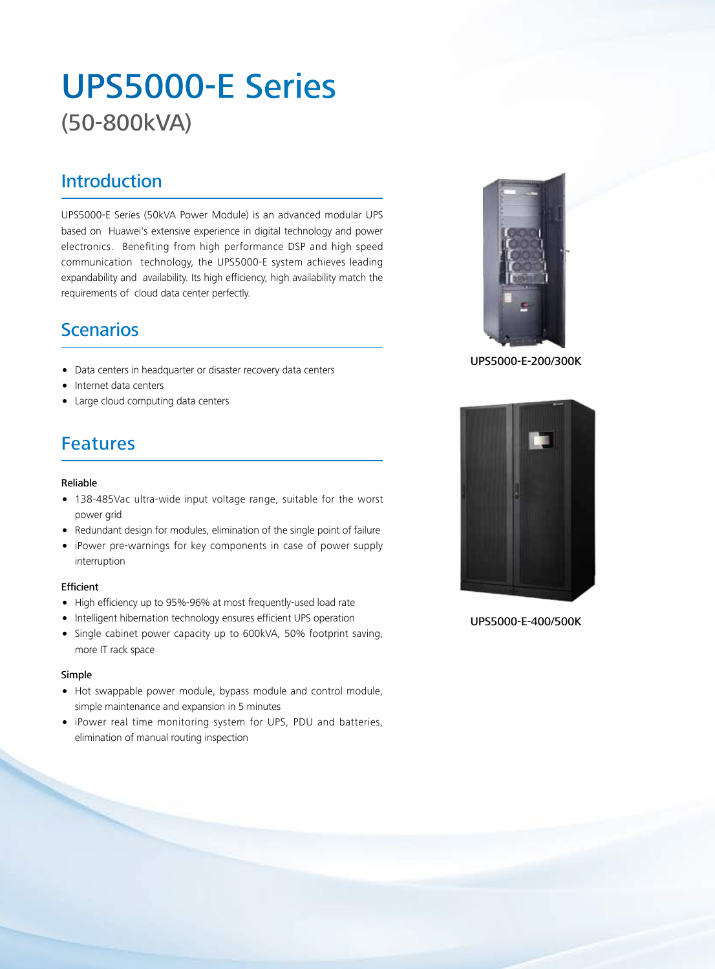# UPS5000-E Series (50-800kVA)

### Introduction

UPS5000-E Series (50kVA Power Module) is an advanced modular UPS based on Huawei's extensive experience in digital technology and power electronics. Benefiting from high performance DSP and high speed communication technology, the UPS5000-E system achieves leading expandability and availability. Its high efficiency, high availability match the requirements of cloud data center perfectly.

## Scenarios

- Data centers in headquarter or disaster recovery data centers
- Internet data centers
- Large cloud computing data centers

# Features

### Reliable

- 138-485Vac ultra-wide input voltage range, suitable for the worst power grid
- Redundant design for modules, elimination of the single point of failure
- iPower pre-warnings for key components in case of power supply interruption

### Efficient

- High efficiency up to 95%-96% at most frequently-used load rate
- Intelligent hibernation technology ensures efficient UPS operation
- Single cabinet power capacity up to 600kVA, 50% footprint saving, more IT rack space

### Simple

- Hot swappable power module, bypass module and control module, simple maintenance and expansion in 5 minutes
- iPower real time monitoring system for UPS, PDU and batteries, elimination of manual routing inspection



UPS5000-E-200/300K



UPS5000-E-400/500K